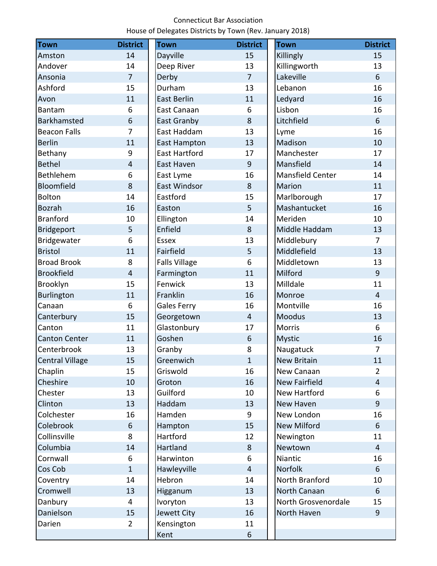## Connecticut Bar Association House of Delegates Districts by Town (Rev. January 2018)

| <b>Town</b>            | <b>District</b> | <b>Town</b>          | <b>District</b> | <b>Town</b>          | <b>District</b> |
|------------------------|-----------------|----------------------|-----------------|----------------------|-----------------|
| Amston                 | 14              | <b>Dayville</b>      | 15              | Killingly            | 15              |
| Andover                | 14              | Deep River           | 13              | Killingworth         | 13              |
| Ansonia                | $\overline{7}$  | Derby                | $\overline{7}$  | Lakeville            | 6               |
| Ashford                | 15              | Durham               | 13              | Lebanon              | 16              |
| Avon                   | 11              | <b>East Berlin</b>   | 11              | Ledyard              | 16              |
| <b>Bantam</b>          | 6               | East Canaan          | 6               | Lisbon               | 16              |
| <b>Barkhamsted</b>     | 6               | East Granby          | 8               | Litchfield           | 6               |
| <b>Beacon Falls</b>    | $\overline{7}$  | East Haddam          | 13              | Lyme                 | 16              |
| <b>Berlin</b>          | 11              | <b>East Hampton</b>  | 13              | Madison              | 10              |
| Bethany                | 9               | <b>East Hartford</b> | 17              | Manchester           | 17              |
| <b>Bethel</b>          | $\overline{4}$  | East Haven           | 9               | Mansfield            | 14              |
| <b>Bethlehem</b>       | 6               | East Lyme            | 16              | Mansfield Center     | 14              |
| Bloomfield             | 8               | <b>East Windsor</b>  | 8               | Marion               | 11              |
| <b>Bolton</b>          | 14              | Eastford             | 15              | Marlborough          | 17              |
| <b>Bozrah</b>          | 16              | Easton               | 5               | Mashantucket         | 16              |
| <b>Branford</b>        | 10              | Ellington            | 14              | Meriden              | 10              |
| <b>Bridgeport</b>      | 5               | Enfield              | 8               | Middle Haddam        | 13              |
| Bridgewater            | 6               | <b>Essex</b>         | 13              | Middlebury           | $\overline{7}$  |
| <b>Bristol</b>         | 11              | Fairfield            | 5               | Middlefield          | 13              |
| <b>Broad Brook</b>     | 8               | <b>Falls Village</b> | 6               | Middletown           | 13              |
| <b>Brookfield</b>      | 4               | Farmington           | 11              | Milford              | 9               |
| Brooklyn               | 15              | Fenwick              | 13              | Milldale             | 11              |
| <b>Burlington</b>      | 11              | Franklin             | 16              | Monroe               | $\overline{4}$  |
| Canaan                 | 6               | <b>Gales Ferry</b>   | 16              | Montville            | 16              |
| Canterbury             | 15              | Georgetown           | $\overline{4}$  | Moodus               | 13              |
| Canton                 | 11              | Glastonbury          | 17              | <b>Morris</b>        | 6               |
| <b>Canton Center</b>   | 11              | Goshen               | 6               | <b>Mystic</b>        | 16              |
| Centerbrook            | 13              | Granby               | 8               | Naugatuck            | $\overline{7}$  |
| <b>Central Village</b> | 15              | Greenwich            | $\mathbf{1}$    | <b>New Britain</b>   | 11              |
| Chaplin                | 15              | Griswold             | 16              | New Canaan           | $\overline{2}$  |
| Cheshire               | 10              | Groton               | 16              | <b>New Fairfield</b> | $\overline{4}$  |
| Chester                | 13              | Guilford             | 10              | New Hartford         | 6               |
| Clinton                | 13              | Haddam               | 13              | New Haven            | 9               |
| Colchester             | 16              | Hamden               | 9               | New London           | 16              |
| Colebrook              | 6               | Hampton              | 15              | <b>New Milford</b>   | 6               |
| Collinsville           | 8               | Hartford             | 12              | Newington            | 11              |
| Columbia               | 14              | Hartland             | 8               | Newtown              | $\overline{4}$  |
| Cornwall               | 6               | Harwinton            | 6               | Niantic              | 16              |
| Cos Cob                | $\mathbf{1}$    | Hawleyville          | $\overline{4}$  | Norfolk              | 6               |
| Coventry               | 14              | Hebron               | 14              | North Branford       | 10              |
| Cromwell               | 13              | Higganum             | 13              | North Canaan         | 6               |
| Danbury                | 4               | Ivoryton             | 13              | North Grosvenordale  | 15              |
| Danielson              | 15              | Jewett City          | 16              | North Haven          | 9               |
| Darien                 | $\overline{2}$  | Kensington           | 11              |                      |                 |
|                        |                 | Kent                 | 6               |                      |                 |